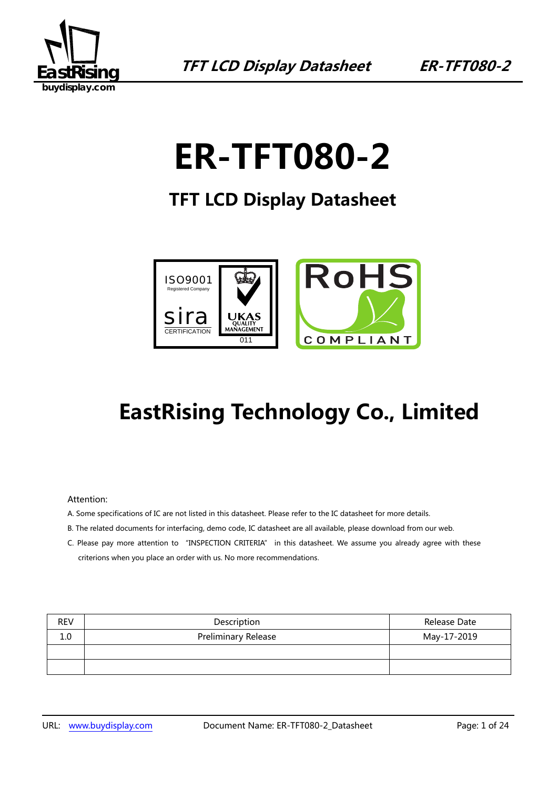

# **ER-TFT080-2**

### **TFT LCD Display Datasheet**



## **EastRising Technology Co., Limited**

#### Attention:

- A. Some specifications of IC are not listed in this datasheet. Please refer to the IC datasheet for more details.
- B. The related documents for interfacing, demo code, IC datasheet are all available, please download from our web.
- C. Please pay more attention to "INSPECTION CRITERIA" in this datasheet. We assume you already agree with these criterions when you place an order with us. No more recommendations.

| <b>REV</b> | Description                | Release Date |
|------------|----------------------------|--------------|
| 1.0        | <b>Preliminary Release</b> | May-17-2019  |
|            |                            |              |
|            |                            |              |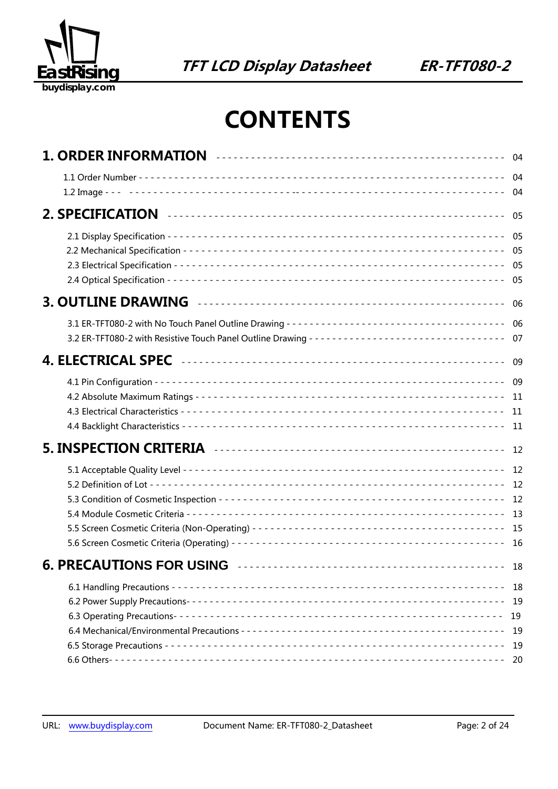

## **CONTENTS**

|                                                                                                                                                                                                                                     | -05                                 |
|-------------------------------------------------------------------------------------------------------------------------------------------------------------------------------------------------------------------------------------|-------------------------------------|
|                                                                                                                                                                                                                                     |                                     |
| 3. OUTLINE DRAWING <b>AUDITED</b> 2004 2010 12:00 12:00 12:00 12:00 12:00 12:00 12:00 12:00 12:00 12:00 12:00 12:00 12:00 12:00 12:00 12:00 12:00 12:00 12:00 12:00 12:00 12:00 12:00 12:00 12:00 12:00 12:00 12:00 12:00 12:00 12: | -06                                 |
| 3.2 ER-TFT080-2 with Resistive Touch Panel Outline Drawing --------------------------------- 07                                                                                                                                     |                                     |
|                                                                                                                                                                                                                                     | -09                                 |
|                                                                                                                                                                                                                                     |                                     |
|                                                                                                                                                                                                                                     | -12                                 |
|                                                                                                                                                                                                                                     |                                     |
| 6. PRECAUTIONS FOR USING <b>WELLET AND INCORPORTMENT OF PRECAUTIONS</b>                                                                                                                                                             | 18                                  |
|                                                                                                                                                                                                                                     | 18<br>19<br>19<br>- 19<br>19<br>-20 |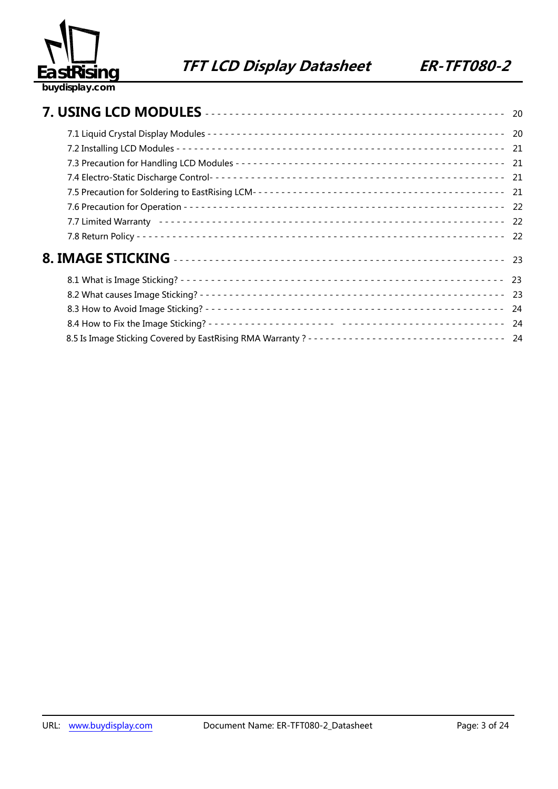

|                                                                                                | 24 |
|------------------------------------------------------------------------------------------------|----|
|                                                                                                |    |
| 8.5 Is Image Sticking Covered by EastRising RMA Warranty? --------------------------------- 24 |    |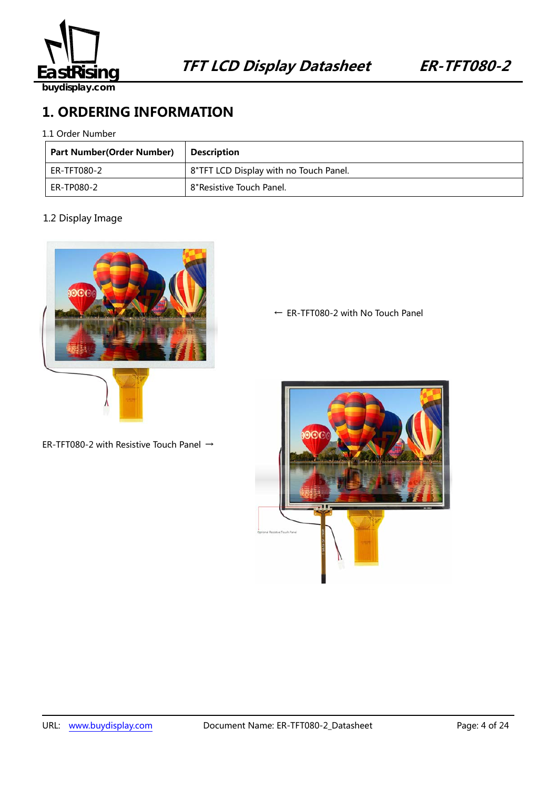

### **1. ORDERING INFORMATION**

1.1 Order Number

| Part Number(Order Number) | <b>Description</b>                     |
|---------------------------|----------------------------------------|
| ER-TFT080-2               | 8"TFT LCD Display with no Touch Panel. |
| ER-TP080-2                | 8" Resistive Touch Panel.              |

### 1.2 Display Image



ER-TFT080-2 with Resistive Touch Panel →

← ER-TFT080-2 with No Touch Panel

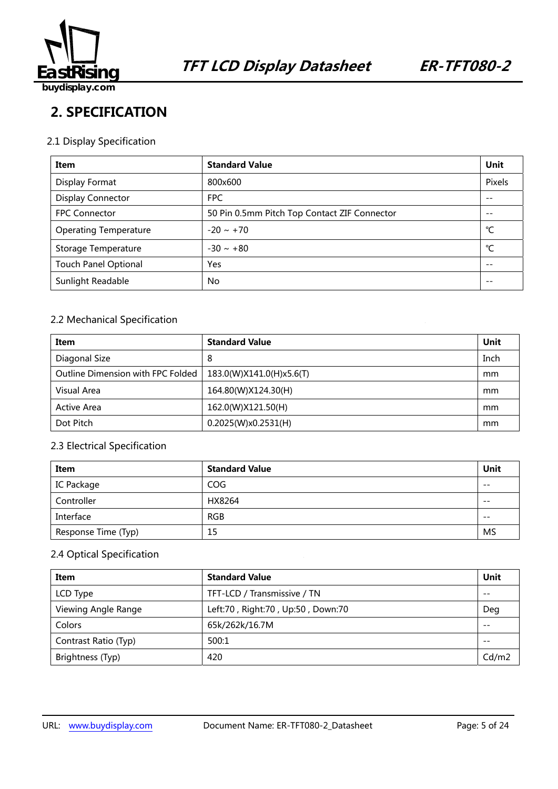

### **2. SPECIFICATION**

### 2.1 Display Specification

| Item                         | <b>Standard Value</b>                        | Unit   |
|------------------------------|----------------------------------------------|--------|
| Display Format               | 800x600                                      | Pixels |
| <b>Display Connector</b>     | <b>FPC</b>                                   | --     |
| <b>FPC Connector</b>         | 50 Pin 0.5mm Pitch Top Contact ZIF Connector | --     |
| <b>Operating Temperature</b> | $-20 \sim +70$                               | °C     |
| Storage Temperature          | $-30 \sim +80$                               | °C     |
| <b>Touch Panel Optional</b>  | <b>Yes</b>                                   | $- -$  |
| Sunlight Readable            | No                                           | --     |

### 2.2 Mechanical Specification

| Item                              | <b>Standard Value</b>    | Unit |
|-----------------------------------|--------------------------|------|
| Diagonal Size                     | 8                        | Inch |
| Outline Dimension with FPC Folded | 183.0(W)X141.0(H)x5.6(T) | mm   |
| Visual Area                       | 164.80(W)X124.30(H)      | mm   |
| <b>Active Area</b>                | 162.0(W)X121.50(H)       | mm   |
| Dot Pitch                         | 0.2025(W)x0.2531(H)      | mm   |

### 2.3 Electrical Specification

| Item                | <b>Standard Value</b> | Unit  |
|---------------------|-----------------------|-------|
| IC Package          | COG                   | $- -$ |
| Controller          | HX8264                | $- -$ |
| Interface           | <b>RGB</b>            | $- -$ |
| Response Time (Typ) | 15                    | MS    |

### 2.4 Optical Specification

| Item                 | <b>Standard Value</b>             | Unit  |
|----------------------|-----------------------------------|-------|
| LCD Type             | TFT-LCD / Transmissive / TN       | $- -$ |
| Viewing Angle Range  | Left:70, Right:70, Up:50, Down:70 | Deg   |
| Colors               | 65k/262k/16.7M                    | $ -$  |
| Contrast Ratio (Typ) | 500:1                             | $- -$ |
| Brightness (Typ)     | 420                               | Cd/m2 |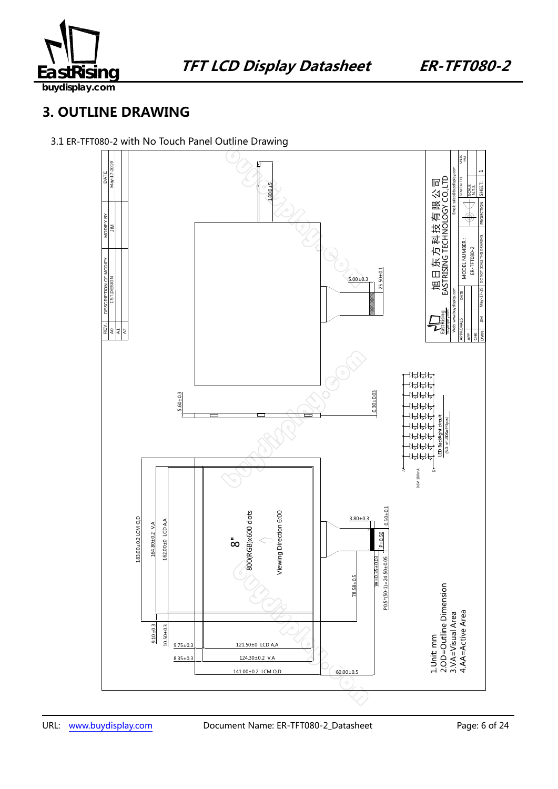

**buydisplay.com**

### **3. OUTLINE DRAWING**

### 3.1 ER-TFT080-2 with No Touch Panel Outline Drawing

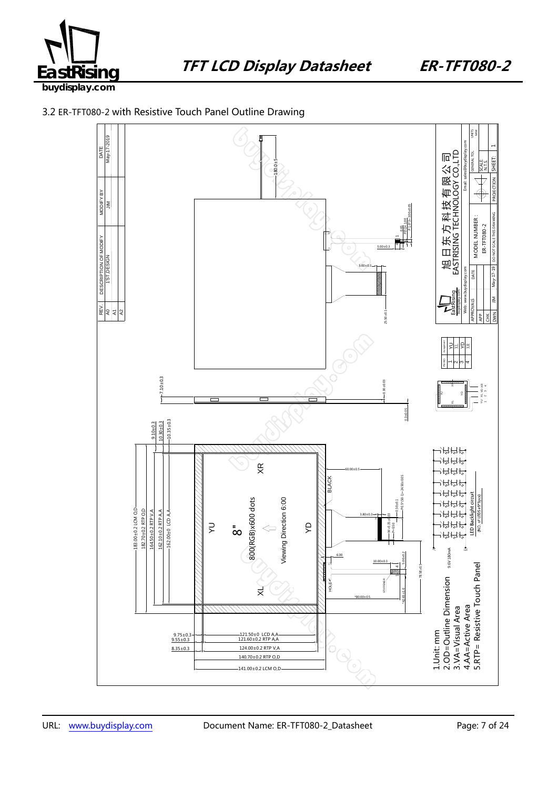



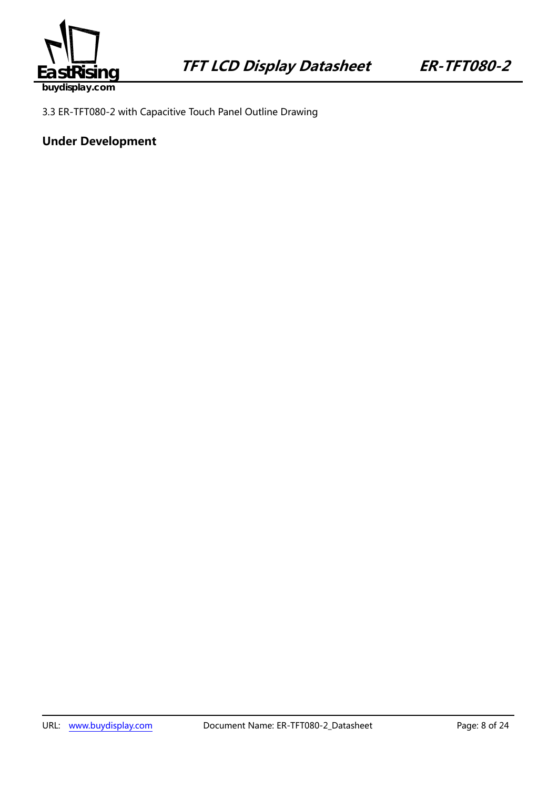

3.3 ER-TFT080-2 with Capacitive Touch Panel Outline Drawing

### **Under Development**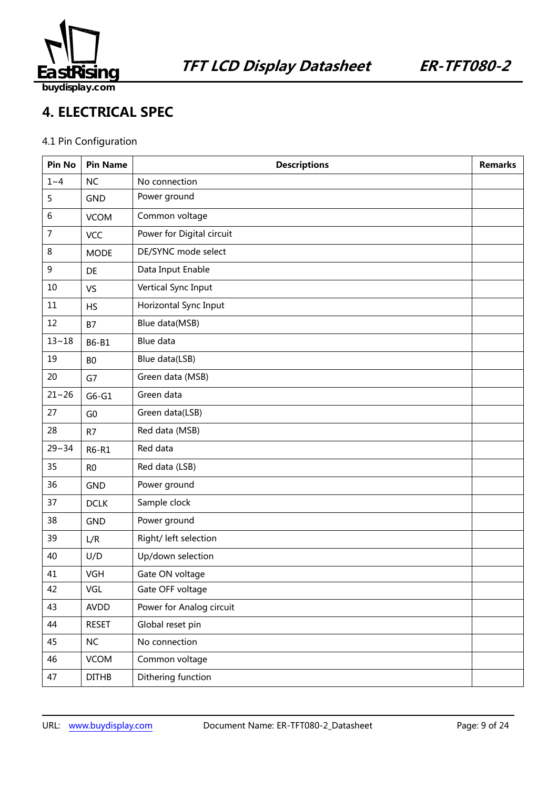

### **4. ELECTRICAL SPEC**

### 4.1 Pin Configuration

| Pin No         | <b>Pin Name</b> | <b>Descriptions</b>       | <b>Remarks</b> |
|----------------|-----------------|---------------------------|----------------|
| $1~-4$         | <b>NC</b>       | No connection             |                |
| 5              | <b>GND</b>      | Power ground              |                |
| 6              | <b>VCOM</b>     | Common voltage            |                |
| $\overline{7}$ | VCC             | Power for Digital circuit |                |
| 8              | <b>MODE</b>     | DE/SYNC mode select       |                |
| 9              | DE              | Data Input Enable         |                |
| 10             | VS              | Vertical Sync Input       |                |
| 11             | <b>HS</b>       | Horizontal Sync Input     |                |
| 12             | <b>B7</b>       | Blue data(MSB)            |                |
| $13 - 18$      | B6-B1           | <b>Blue data</b>          |                |
| 19             | B <sub>0</sub>  | Blue data(LSB)            |                |
| 20             | G7              | Green data (MSB)          |                |
| $21 - 26$      | $G6-G1$         | Green data                |                |
| 27             | G <sub>0</sub>  | Green data(LSB)           |                |
| 28             | R7              | Red data (MSB)            |                |
| $29 - 34$      | R6-R1           | Red data                  |                |
| 35             | R <sub>0</sub>  | Red data (LSB)            |                |
| 36             | <b>GND</b>      | Power ground              |                |
| 37             | <b>DCLK</b>     | Sample clock              |                |
| 38             | <b>GND</b>      | Power ground              |                |
| 39             | L/R             | Right/ left selection     |                |
| 40             | U/D             | Up/down selection         |                |
| 41             | VGH             | Gate ON voltage           |                |
| 42             | VGL             | Gate OFF voltage          |                |
| 43             | AVDD            | Power for Analog circuit  |                |
| 44             | <b>RESET</b>    | Global reset pin          |                |
| 45             | NC              | No connection             |                |
| 46             | <b>VCOM</b>     | Common voltage            |                |
| 47             | <b>DITHB</b>    | Dithering function        |                |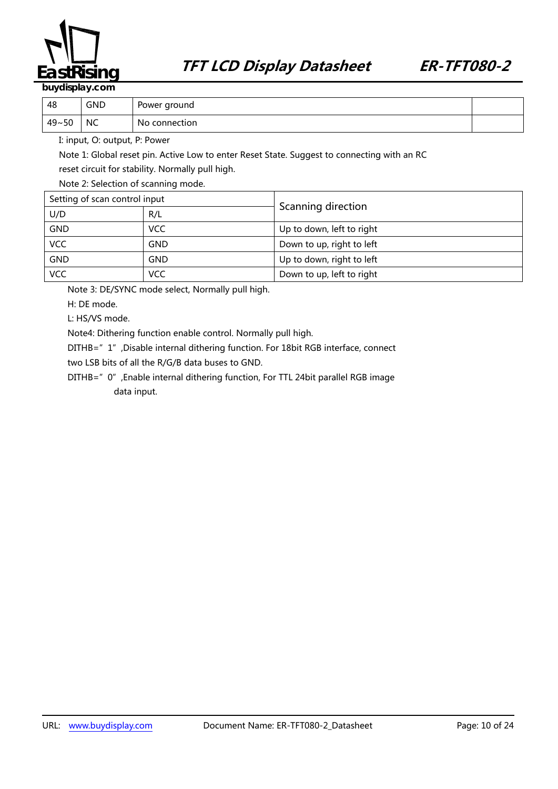

| 48    | <b>GND</b> | Power ground  |  |
|-------|------------|---------------|--|
| 49~50 | NC.        | No connection |  |

I: input, O: output, P: Power

Note 1: Global reset pin. Active Low to enter Reset State. Suggest to connecting with an RC reset circuit for stability. Normally pull high.

Note 2: Selection of scanning mode.

| Setting of scan control input |            |                           |  |
|-------------------------------|------------|---------------------------|--|
| U/D                           | R/L        | Scanning direction        |  |
| <b>GND</b>                    | <b>VCC</b> | Up to down, left to right |  |
| VCC                           | GND        | Down to up, right to left |  |
| <b>GND</b>                    | GND.       | Up to down, right to left |  |
| <b>VCC</b><br>VCC             |            | Down to up, left to right |  |

Note 3: DE/SYNC mode select, Normally pull high.

H: DE mode.

L: HS/VS mode.

Note4: Dithering function enable control. Normally pull high.

DITHB="1",Disable internal dithering function. For 18bit RGB interface, connect

two LSB bits of all the R/G/B data buses to GND.

DITHB="0",Enable internal dithering function, For TTL 24bit parallel RGB image data input.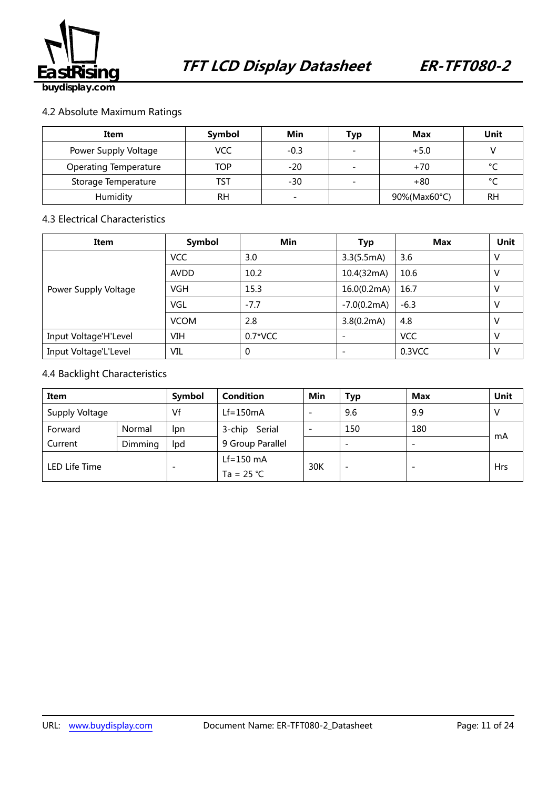

### 4.2 Absolute Maximum Ratings

| Item                         | Symbol     | Min    | Тур                      | <b>Max</b>   | Unit      |
|------------------------------|------------|--------|--------------------------|--------------|-----------|
| Power Supply Voltage         | <b>VCC</b> | $-0.3$ | $\overline{\phantom{0}}$ | $+5.0$       |           |
| <b>Operating Temperature</b> | <b>TOP</b> | $-20$  | $\overline{\phantom{0}}$ | $+70$        | $\sim$    |
| Storage Temperature          | TST        | -30    | -                        | $+80$        | $\sim$    |
| Humidity                     | RH         |        |                          | 90%(Max60°C) | <b>RH</b> |

### 4.3 Electrical Characteristics

| Item                  | Symbol      | Min       | <b>Typ</b>    | <b>Max</b> | Unit |
|-----------------------|-------------|-----------|---------------|------------|------|
|                       | <b>VCC</b>  | 3.0       | 3.3(5.5mA)    | 3.6        | ν    |
|                       | <b>AVDD</b> | 10.2      | 10.4(32mA)    | 10.6       | ν    |
| Power Supply Voltage  | <b>VGH</b>  | 15.3      | 16.0(0.2mA)   | 16.7       |      |
|                       | <b>VGL</b>  | $-7.7$    | $-7.0(0.2mA)$ | $-6.3$     |      |
|                       | <b>VCOM</b> | 2.8       | 3.8(0.2mA)    | 4.8        |      |
| Input Voltage'H'Level | VIH         | $0.7*VCC$ |               | <b>VCC</b> |      |
| Input Voltage'L'Level | VIL         | $\Omega$  |               | 0.3VCC     |      |

### 4.4 Backlight Characteristics

| Item           |         | Symbol | Condition        | Min                      | <b>Typ</b>               | <b>Max</b> | Unit       |
|----------------|---------|--------|------------------|--------------------------|--------------------------|------------|------------|
| Supply Voltage |         | Vf     | $Lf = 150mA$     |                          | 9.6                      | 9.9        |            |
| Forward        | Normal  | Ipn    | 3-chip Serial    | $\overline{\phantom{a}}$ | 150                      | 180        |            |
| Current        | Dimming | Ipd    | 9 Group Parallel |                          | $\overline{\phantom{0}}$ |            | mA         |
| LED Life Time  |         |        | $Lf=150$ mA      | 30K                      | $\overline{\phantom{0}}$ |            | <b>Hrs</b> |
|                |         |        | Ta = $25 °C$     |                          |                          |            |            |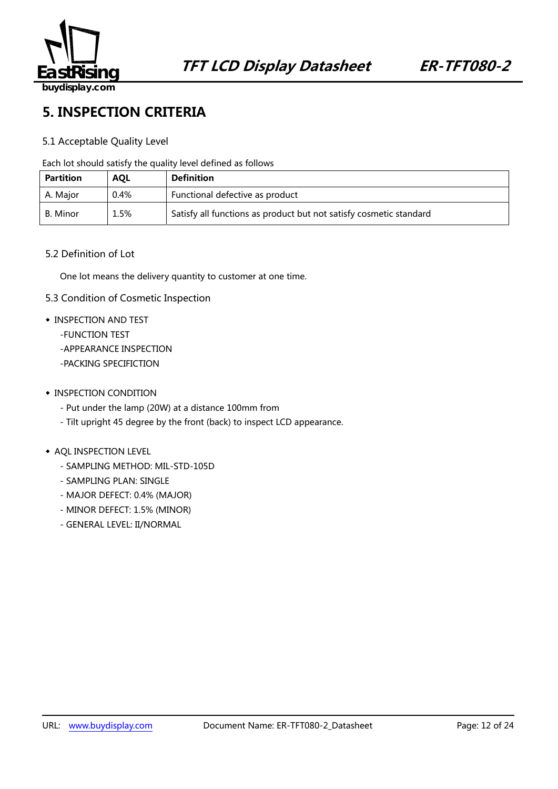

### **5. INSPECTION CRITERIA**

### 5.1 Acceptable Quality Level

Each lot should satisfy the quality level defined as follows

| <b>Partition</b> | <b>AQL</b> | <b>Definition</b>                                                  |
|------------------|------------|--------------------------------------------------------------------|
| A. Major         | 0.4%       | Functional defective as product                                    |
| B. Minor         | 1.5%       | Satisfy all functions as product but not satisfy cosmetic standard |

#### 5.2 Definition of Lot

One lot means the delivery quantity to customer at one time.

- 5.3 Condition of Cosmetic Inspection
- ◆ INSPECTION AND TEST
	- -FUNCTION TEST
	- -APPEARANCE INSPECTION
	- -PACKING SPECIFICTION
- ◆ INSPECTION CONDITION
	- Put under the lamp (20W) at a distance 100mm from
	- Tilt upright 45 degree by the front (back) to inspect LCD appearance.

#### ◆ AQL INSPECTION LEVEL

- SAMPLING METHOD: MIL-STD-105D
- SAMPLING PLAN: SINGLE
- MAJOR DEFECT: 0.4% (MAJOR)
- MINOR DEFECT: 1.5% (MINOR)
- GENERAL LEVEL: II/NORMAL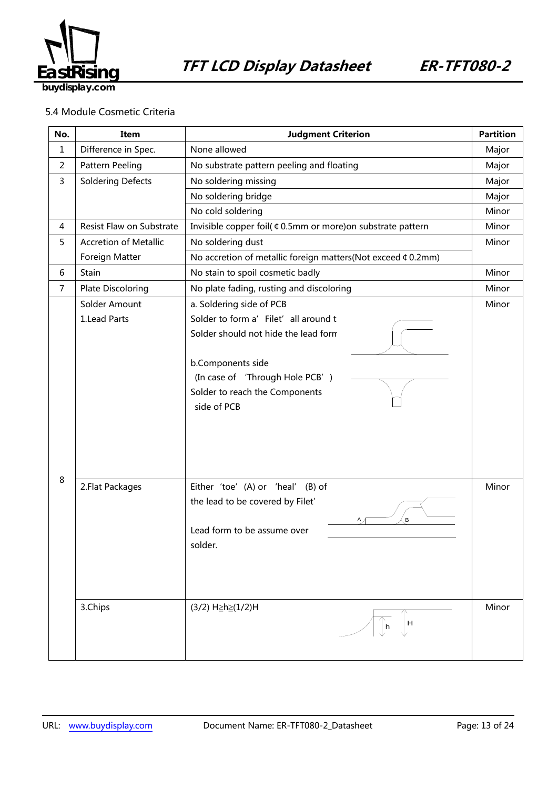

### 5.4 Module Cosmetic Criteria

| No.            | Item                          | <b>Judgment Criterion</b>                                                                                                                                                                                          |                |
|----------------|-------------------------------|--------------------------------------------------------------------------------------------------------------------------------------------------------------------------------------------------------------------|----------------|
| $\mathbf{1}$   | Difference in Spec.           | None allowed                                                                                                                                                                                                       |                |
| $\overline{c}$ | Pattern Peeling               | No substrate pattern peeling and floating                                                                                                                                                                          | Major          |
| 3              | <b>Soldering Defects</b>      | No soldering missing                                                                                                                                                                                               | Major          |
|                |                               | No soldering bridge                                                                                                                                                                                                | Major          |
|                |                               | No cold soldering                                                                                                                                                                                                  | Minor          |
| 4              | Resist Flaw on Substrate      | Invisible copper foil( ¢ 0.5mm or more) on substrate pattern                                                                                                                                                       | Minor          |
| 5              | <b>Accretion of Metallic</b>  | No soldering dust                                                                                                                                                                                                  | Minor          |
|                | Foreign Matter                | No accretion of metallic foreign matters(Not exceed ¢ 0.2mm)                                                                                                                                                       |                |
| 6              | Stain                         | No stain to spoil cosmetic badly                                                                                                                                                                                   | Minor          |
| $\overline{7}$ | <b>Plate Discoloring</b>      | No plate fading, rusting and discoloring                                                                                                                                                                           | Minor          |
|                | Solder Amount<br>1.Lead Parts | a. Soldering side of PCB<br>Solder to form a' Filet' all around t<br>Solder should not hide the lead form<br>b.Components side<br>(In case of 'Through Hole PCB')<br>Solder to reach the Components<br>side of PCB | Minor          |
| 8              | 2. Flat Packages<br>3.Chips   | Either 'toe' (A) or 'heal'<br>$(B)$ of<br>the lead to be covered by Filet'<br>B<br>Α<br>Lead form to be assume over<br>solder.<br>(3/2) H≥h≥(1/2)H<br>H<br>h                                                       | Minor<br>Minor |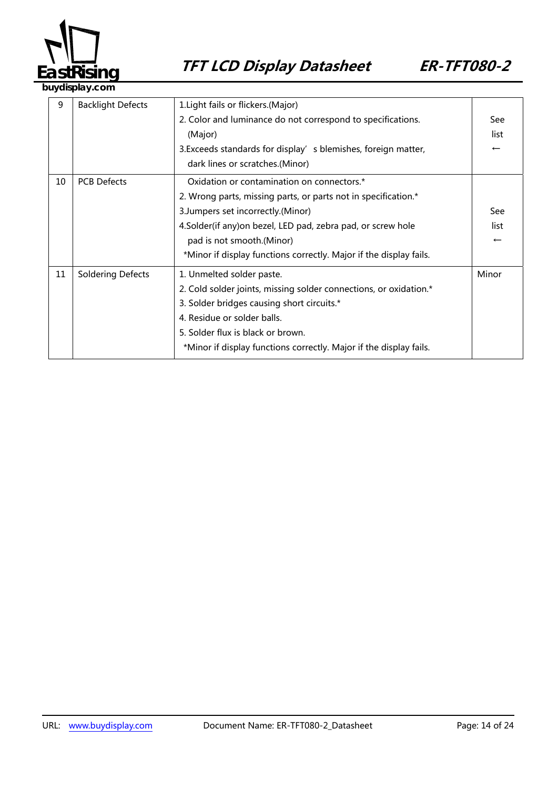

**buydisplay.com**

| 9  | <b>Backlight Defects</b> | 1. Light fails or flickers. (Major)                                |                          |
|----|--------------------------|--------------------------------------------------------------------|--------------------------|
|    |                          | 2. Color and luminance do not correspond to specifications.        |                          |
|    |                          | (Major)                                                            |                          |
|    |                          | 3. Exceeds standards for display' s blemishes, foreign matter,     | $\overline{\phantom{m}}$ |
|    |                          | dark lines or scratches.(Minor)                                    |                          |
| 10 | <b>PCB Defects</b>       | Oxidation or contamination on connectors.*                         |                          |
|    |                          | 2. Wrong parts, missing parts, or parts not in specification.*     |                          |
|    |                          | 3. Jumpers set incorrectly. (Minor)                                | See                      |
|    |                          | 4.Solder(if any) on bezel, LED pad, zebra pad, or screw hole       |                          |
|    |                          | pad is not smooth.(Minor)                                          | $\overline{\phantom{m}}$ |
|    |                          | *Minor if display functions correctly. Major if the display fails. |                          |
| 11 | <b>Soldering Defects</b> | 1. Unmelted solder paste.                                          | Minor                    |
|    |                          | 2. Cold solder joints, missing solder connections, or oxidation.*  |                          |
|    |                          | 3. Solder bridges causing short circuits.*                         |                          |
|    |                          | 4. Residue or solder balls.                                        |                          |
|    |                          | 5. Solder flux is black or brown.                                  |                          |
|    |                          | *Minor if display functions correctly. Major if the display fails. |                          |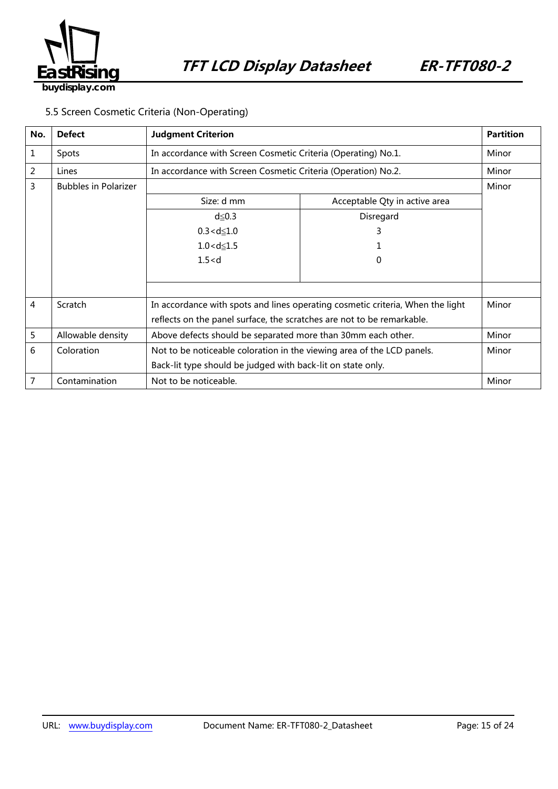

### 5.5 Screen Cosmetic Criteria (Non-Operating)

| No. | <b>Defect</b>               | <b>Judgment Criterion</b>                                                      | <b>Partition</b>              |       |
|-----|-----------------------------|--------------------------------------------------------------------------------|-------------------------------|-------|
| 1   | Spots                       | In accordance with Screen Cosmetic Criteria (Operating) No.1.                  |                               | Minor |
| 2   | Lines                       | In accordance with Screen Cosmetic Criteria (Operation) No.2.                  |                               | Minor |
| 3   | <b>Bubbles in Polarizer</b> |                                                                                |                               | Minor |
|     |                             | Size: d mm                                                                     | Acceptable Qty in active area |       |
|     |                             | $d \leq 0.3$                                                                   | Disregard                     |       |
|     |                             | $0.3 < d \leq 1.0$                                                             | 3                             |       |
|     |                             | $1.0 < d \le 1.5$                                                              |                               |       |
|     |                             | 1.5 < d<br>0                                                                   |                               |       |
|     |                             |                                                                                |                               |       |
|     |                             |                                                                                |                               |       |
| 4   | Scratch                     | In accordance with spots and lines operating cosmetic criteria, When the light | Minor                         |       |
|     |                             | reflects on the panel surface, the scratches are not to be remarkable.         |                               |       |
| 5   | Allowable density           | Above defects should be separated more than 30mm each other.                   | Minor                         |       |
| 6   | Coloration                  | Not to be noticeable coloration in the viewing area of the LCD panels.         | Minor                         |       |
|     |                             | Back-lit type should be judged with back-lit on state only.                    |                               |       |
| 7   | Contamination               | Not to be noticeable.                                                          | Minor                         |       |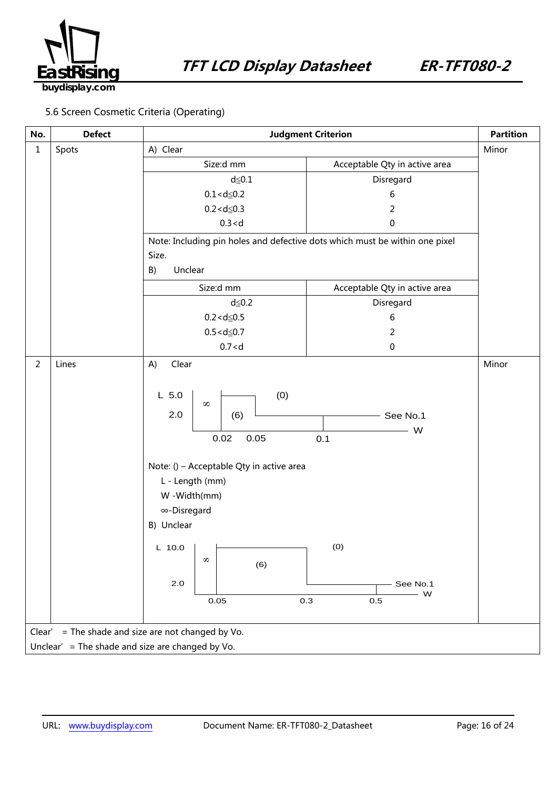

### 5.6 Screen Cosmetic Criteria (Operating)

| No.            | <b>Defect</b>                                         | <b>Judgment Criterion</b>                                                                                                                                                                                                            | <b>Partition</b>                                               |       |  |  |
|----------------|-------------------------------------------------------|--------------------------------------------------------------------------------------------------------------------------------------------------------------------------------------------------------------------------------------|----------------------------------------------------------------|-------|--|--|
| $\mathbf{1}$   | Spots                                                 | A) Clear                                                                                                                                                                                                                             | Minor                                                          |       |  |  |
|                |                                                       | Size:d mm                                                                                                                                                                                                                            | Acceptable Qty in active area                                  |       |  |  |
|                |                                                       | $d \leq 0.1$                                                                                                                                                                                                                         | Disregard                                                      |       |  |  |
|                |                                                       | $0.1 < d \le 0.2$                                                                                                                                                                                                                    | 6                                                              |       |  |  |
|                |                                                       | $0.2 < d \le 0.3$                                                                                                                                                                                                                    | 2                                                              |       |  |  |
|                |                                                       | 0.3 < d                                                                                                                                                                                                                              | 0                                                              |       |  |  |
|                |                                                       | Note: Including pin holes and defective dots which must be within one pixel                                                                                                                                                          |                                                                |       |  |  |
|                |                                                       | Size.                                                                                                                                                                                                                                |                                                                |       |  |  |
|                |                                                       | Unclear<br>B)                                                                                                                                                                                                                        |                                                                |       |  |  |
|                |                                                       | Size:d mm                                                                                                                                                                                                                            | Acceptable Qty in active area                                  |       |  |  |
|                |                                                       | $d \leq 0.2$                                                                                                                                                                                                                         | Disregard                                                      |       |  |  |
|                |                                                       | $0.2 < d \le 0.5$                                                                                                                                                                                                                    | 6                                                              |       |  |  |
|                |                                                       | $0.5 < d \le 0.7$                                                                                                                                                                                                                    | 2                                                              |       |  |  |
|                |                                                       | 0.7 < d                                                                                                                                                                                                                              | $\pmb{0}$                                                      |       |  |  |
| $\overline{2}$ | Lines                                                 | Clear<br>A)                                                                                                                                                                                                                          |                                                                | Minor |  |  |
|                |                                                       | (0)<br>$L$ 5.0<br>$\infty$<br>2.0<br>(6)<br>0.02<br>0.05<br>Note: () - Acceptable Qty in active area<br>L - Length (mm)<br>W -Width(mm)<br>∞-Disregard<br>B) Unclear<br><b>COLLEGE</b><br>$L$ 10.0<br>$\infty$<br>(6)<br>2.0<br>0.05 | See No.1<br>W<br>0.1<br>(0)<br>See No.1<br>W<br>0.3<br>$0.5\,$ |       |  |  |
|                | = The shade and size are not changed by Vo.<br>Clear' |                                                                                                                                                                                                                                      |                                                                |       |  |  |
|                | Unclear' = The shade and size are changed by Vo.      |                                                                                                                                                                                                                                      |                                                                |       |  |  |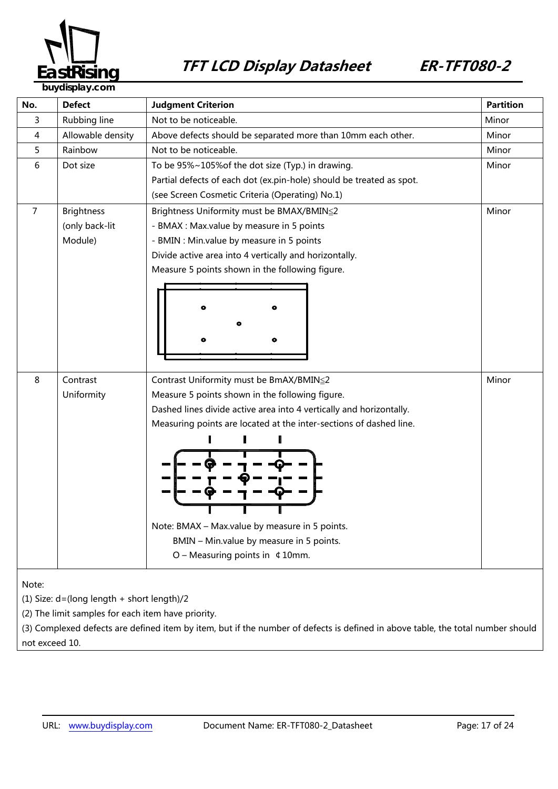

**blay.com** 

| No.   | <b>Defect</b>                              | <b>Judgment Criterion</b>                                            | <b>Partition</b> |  |  |
|-------|--------------------------------------------|----------------------------------------------------------------------|------------------|--|--|
| 3     | Rubbing line                               | Not to be noticeable.                                                | Minor            |  |  |
| 4     | Allowable density                          | Above defects should be separated more than 10mm each other.         | Minor            |  |  |
| 5     | Rainbow                                    | Not to be noticeable.                                                | Minor            |  |  |
| 6     | Dot size                                   | To be 95%~105% of the dot size (Typ.) in drawing.                    | Minor            |  |  |
|       |                                            | Partial defects of each dot (ex.pin-hole) should be treated as spot. |                  |  |  |
|       |                                            | (see Screen Cosmetic Criteria (Operating) No.1)                      |                  |  |  |
| 7     | <b>Brightness</b>                          | Brightness Uniformity must be BMAX/BMIN≤2                            | Minor            |  |  |
|       | (only back-lit                             | - BMAX : Max.value by measure in 5 points                            |                  |  |  |
|       | Module)                                    | - BMIN : Min.value by measure in 5 points                            |                  |  |  |
|       |                                            | Divide active area into 4 vertically and horizontally.               |                  |  |  |
|       |                                            | Measure 5 points shown in the following figure.                      |                  |  |  |
|       |                                            |                                                                      |                  |  |  |
|       |                                            |                                                                      |                  |  |  |
|       |                                            |                                                                      |                  |  |  |
|       |                                            |                                                                      |                  |  |  |
|       |                                            |                                                                      |                  |  |  |
|       |                                            |                                                                      |                  |  |  |
| 8     | Contrast                                   | Contrast Uniformity must be BmAX/BMIN≦2                              | Minor            |  |  |
|       | Uniformity                                 | Measure 5 points shown in the following figure.                      |                  |  |  |
|       |                                            | Dashed lines divide active area into 4 vertically and horizontally.  |                  |  |  |
|       |                                            | Measuring points are located at the inter-sections of dashed line.   |                  |  |  |
|       |                                            |                                                                      |                  |  |  |
|       |                                            |                                                                      |                  |  |  |
|       |                                            |                                                                      |                  |  |  |
|       |                                            |                                                                      |                  |  |  |
|       |                                            |                                                                      |                  |  |  |
|       |                                            |                                                                      |                  |  |  |
|       |                                            | Note: BMAX - Max.value by measure in 5 points.                       |                  |  |  |
|       |                                            | BMIN - Min.value by measure in 5 points.                             |                  |  |  |
|       |                                            | $O$ – Measuring points in $\text{\&}$ 10mm.                          |                  |  |  |
|       |                                            |                                                                      |                  |  |  |
| Note: |                                            |                                                                      |                  |  |  |
|       | (1) Size: d=(long length + short length)/2 |                                                                      |                  |  |  |

(2) The limit samples for each item have priority.

(3) Complexed defects are defined item by item, but if the number of defects is defined in above table, the total number should not exceed 10.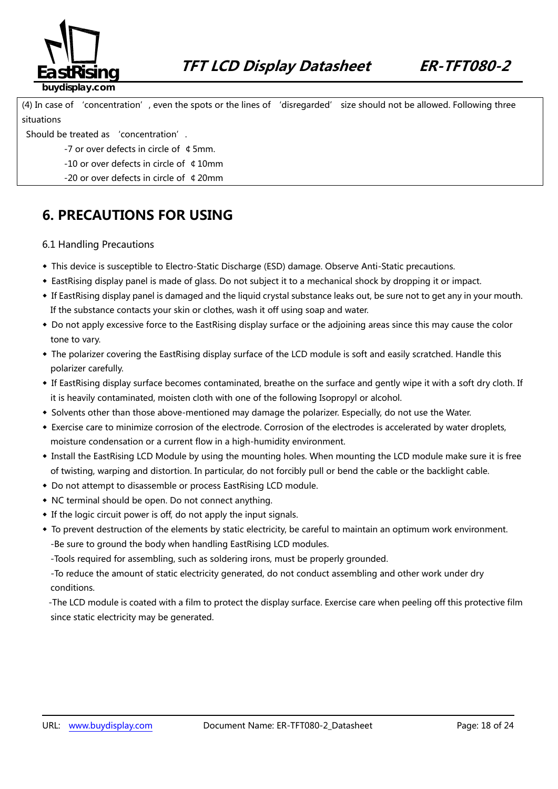

(4) In case of 'concentration', even the spots or the lines of 'disregarded' size should not be allowed. Following three situations

Should be treated as 'concentration'.

-7 or over defects in circle of ¢5mm.

-10 or over defects in circle of ¢10mm

-20 or over defects in circle of ¢20mm

### **6. PRECAUTIONS FOR USING**

### 6.1 Handling Precautions

- ◆ This device is susceptible to Electro-Static Discharge (ESD) damage. Observe Anti-Static precautions.
- ◆ EastRising display panel is made of glass. Do not subject it to a mechanical shock by dropping it or impact.
- ◆ If EastRising display panel is damaged and the liquid crystal substance leaks out, be sure not to get any in your mouth. If the substance contacts your skin or clothes, wash it off using soap and water.
- ◆ Do not apply excessive force to the EastRising display surface or the adjoining areas since this may cause the color tone to vary.
- ◆ The polarizer covering the EastRising display surface of the LCD module is soft and easily scratched. Handle this polarizer carefully.
- ◆ If EastRising display surface becomes contaminated, breathe on the surface and gently wipe it with a soft dry cloth. If it is heavily contaminated, moisten cloth with one of the following Isopropyl or alcohol.
- ◆ Solvents other than those above-mentioned may damage the polarizer. Especially, do not use the Water.
- ◆ Exercise care to minimize corrosion of the electrode. Corrosion of the electrodes is accelerated by water droplets, moisture condensation or a current flow in a high-humidity environment.
- ◆ Install the EastRising LCD Module by using the mounting holes. When mounting the LCD module make sure it is free of twisting, warping and distortion. In particular, do not forcibly pull or bend the cable or the backlight cable.
- ◆ Do not attempt to disassemble or process EastRising LCD module.
- ◆ NC terminal should be open. Do not connect anything.
- ◆ If the logic circuit power is off, do not apply the input signals.
- ◆ To prevent destruction of the elements by static electricity, be careful to maintain an optimum work environment. -Be sure to ground the body when handling EastRising LCD modules.
	- -Tools required for assembling, such as soldering irons, must be properly grounded.

-To reduce the amount of static electricity generated, do not conduct assembling and other work under dry conditions.

-The LCD module is coated with a film to protect the display surface. Exercise care when peeling off this protective film since static electricity may be generated.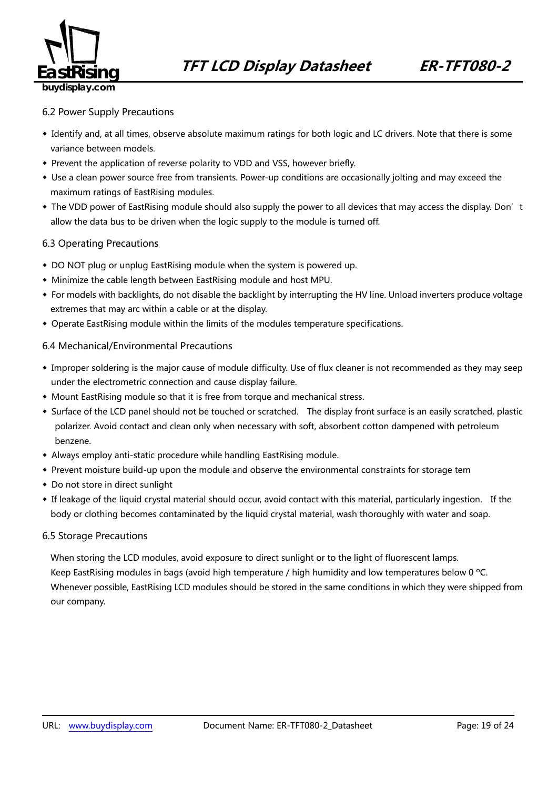

#### 6.2 Power Supply Precautions

- ◆ Identify and, at all times, observe absolute maximum ratings for both logic and LC drivers. Note that there is some variance between models.
- ◆ Prevent the application of reverse polarity to VDD and VSS, however briefly.
- ◆ Use a clean power source free from transients. Power-up conditions are occasionally jolting and may exceed the maximum ratings of EastRising modules.
- The VDD power of EastRising module should also supply the power to all devices that may access the display. Don't allow the data bus to be driven when the logic supply to the module is turned off.

### 6.3 Operating Precautions

- ◆ DO NOT plug or unplug EastRising module when the system is powered up.
- ◆ Minimize the cable length between EastRising module and host MPU.
- ◆ For models with backlights, do not disable the backlight by interrupting the HV line. Unload inverters produce voltage extremes that may arc within a cable or at the display.
- ◆ Operate EastRising module within the limits of the modules temperature specifications.

### 6.4 Mechanical/Environmental Precautions

- ◆ Improper soldering is the major cause of module difficulty. Use of flux cleaner is not recommended as they may seep under the electrometric connection and cause display failure.
- ◆ Mount EastRising module so that it is free from torque and mechanical stress.
- ◆ Surface of the LCD panel should not be touched or scratched. The display front surface is an easily scratched, plastic polarizer. Avoid contact and clean only when necessary with soft, absorbent cotton dampened with petroleum benzene.
- ◆ Always employ anti-static procedure while handling EastRising module.
- ◆ Prevent moisture build-up upon the module and observe the environmental constraints for storage tem
- ◆ Do not store in direct sunlight
- ◆ If leakage of the liquid crystal material should occur, avoid contact with this material, particularly ingestion. If the body or clothing becomes contaminated by the liquid crystal material, wash thoroughly with water and soap.

#### 6.5 Storage Precautions

When storing the LCD modules, avoid exposure to direct sunlight or to the light of fluorescent lamps. Keep EastRising modules in bags (avoid high temperature / high humidity and low temperatures below 0 °C. Whenever possible, EastRising LCD modules should be stored in the same conditions in which they were shipped from our company.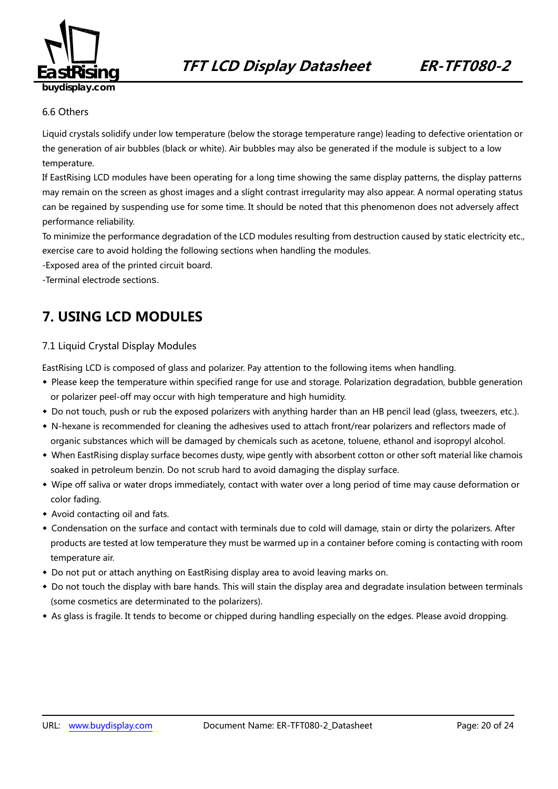

### 6.6 Others

Liquid crystals solidify under low temperature (below the storage temperature range) leading to defective orientation or the generation of air bubbles (black or white). Air bubbles may also be generated if the module is subject to a low temperature.

If EastRising LCD modules have been operating for a long time showing the same display patterns, the display patterns may remain on the screen as ghost images and a slight contrast irregularity may also appear. A normal operating status can be regained by suspending use for some time. It should be noted that this phenomenon does not adversely affect performance reliability.

To minimize the performance degradation of the LCD modules resulting from destruction caused by static electricity etc., exercise care to avoid holding the following sections when handling the modules.

-Exposed area of the printed circuit board.

-Terminal electrode sections.

### **7. USING LCD MODULES**

### 7.1 Liquid Crystal Display Modules

EastRising LCD is composed of glass and polarizer. Pay attention to the following items when handling.

- ◆ Please keep the temperature within specified range for use and storage. Polarization degradation, bubble generation or polarizer peel-off may occur with high temperature and high humidity.
- ◆ Do not touch, push or rub the exposed polarizers with anything harder than an HB pencil lead (glass, tweezers, etc.).
- ◆ N-hexane is recommended for cleaning the adhesives used to attach front/rear polarizers and reflectors made of organic substances which will be damaged by chemicals such as acetone, toluene, ethanol and isopropyl alcohol.
- ◆ When EastRising display surface becomes dusty, wipe gently with absorbent cotton or other soft material like chamois soaked in petroleum benzin. Do not scrub hard to avoid damaging the display surface.
- ◆ Wipe off saliva or water drops immediately, contact with water over a long period of time may cause deformation or color fading.
- ◆ Avoid contacting oil and fats.
- ◆ Condensation on the surface and contact with terminals due to cold will damage, stain or dirty the polarizers. After products are tested at low temperature they must be warmed up in a container before coming is contacting with room temperature air.
- ◆ Do not put or attach anything on EastRising display area to avoid leaving marks on.
- ◆ Do not touch the display with bare hands. This will stain the display area and degradate insulation between terminals (some cosmetics are determinated to the polarizers).
- ◆ As glass is fragile. It tends to become or chipped during handling especially on the edges. Please avoid dropping.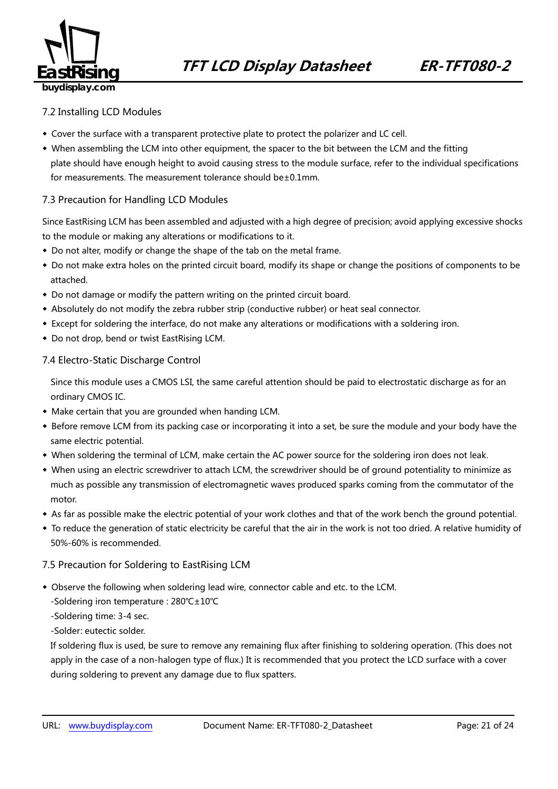

### 7.2 Installing LCD Modules

- ◆ Cover the surface with a transparent protective plate to protect the polarizer and LC cell.
- ◆ When assembling the LCM into other equipment, the spacer to the bit between the LCM and the fitting plate should have enough height to avoid causing stress to the module surface, refer to the individual specifications for measurements. The measurement tolerance should be±0.1mm.

### 7.3 Precaution for Handling LCD Modules

Since EastRising LCM has been assembled and adjusted with a high degree of precision; avoid applying excessive shocks to the module or making any alterations or modifications to it.

- ◆ Do not alter, modify or change the shape of the tab on the metal frame.
- ◆ Do not make extra holes on the printed circuit board, modify its shape or change the positions of components to be attached.
- ◆ Do not damage or modify the pattern writing on the printed circuit board.
- ◆ Absolutely do not modify the zebra rubber strip (conductive rubber) or heat seal connector.
- ◆ Except for soldering the interface, do not make any alterations or modifications with a soldering iron.
- ◆ Do not drop, bend or twist EastRising LCM.

### 7.4 Electro-Static Discharge Control

Since this module uses a CMOS LSI, the same careful attention should be paid to electrostatic discharge as for an ordinary CMOS IC.

- ◆ Make certain that you are grounded when handing LCM.
- ◆ Before remove LCM from its packing case or incorporating it into a set, be sure the module and your body have the same electric potential.
- ◆ When soldering the terminal of LCM, make certain the AC power source for the soldering iron does not leak.
- ◆ When using an electric screwdriver to attach LCM, the screwdriver should be of ground potentiality to minimize as much as possible any transmission of electromagnetic waves produced sparks coming from the commutator of the motor.
- ◆ As far as possible make the electric potential of your work clothes and that of the work bench the ground potential.
- ◆ To reduce the generation of static electricity be careful that the air in the work is not too dried. A relative humidity of 50%-60% is recommended.

#### 7.5 Precaution for Soldering to EastRising LCM

- ◆ Observe the following when soldering lead wire, connector cable and etc. to the LCM.
	- -Soldering iron temperature : 280℃±10℃
	- -Soldering time: 3-4 sec.

-Solder: eutectic solder.

If soldering flux is used, be sure to remove any remaining flux after finishing to soldering operation. (This does not apply in the case of a non-halogen type of flux.) It is recommended that you protect the LCD surface with a cover during soldering to prevent any damage due to flux spatters.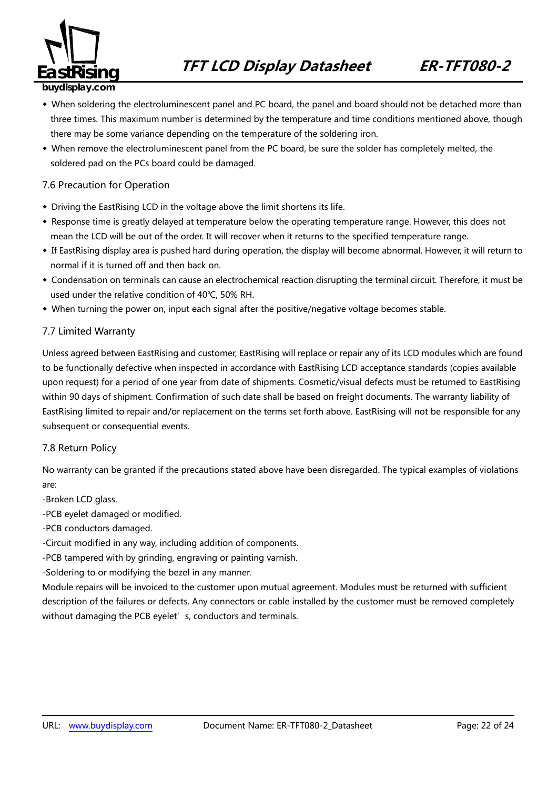

- ◆ When soldering the electroluminescent panel and PC board, the panel and board should not be detached more than three times. This maximum number is determined by the temperature and time conditions mentioned above, though there may be some variance depending on the temperature of the soldering iron.
- ◆ When remove the electroluminescent panel from the PC board, be sure the solder has completely melted, the soldered pad on the PCs board could be damaged.

### 7.6 Precaution for Operation

- ◆ Driving the EastRising LCD in the voltage above the limit shortens its life.
- ◆ Response time is greatly delayed at temperature below the operating temperature range. However, this does not mean the LCD will be out of the order. It will recover when it returns to the specified temperature range.
- ◆ If EastRising display area is pushed hard during operation, the display will become abnormal. However, it will return to normal if it is turned off and then back on.
- ◆ Condensation on terminals can cause an electrochemical reaction disrupting the terminal circuit. Therefore, it must be used under the relative condition of 40℃, 50% RH.
- ◆ When turning the power on, input each signal after the positive/negative voltage becomes stable.

#### 7.7 Limited Warranty

Unless agreed between EastRising and customer, EastRising will replace or repair any of its LCD modules which are found to be functionally defective when inspected in accordance with EastRising LCD acceptance standards (copies available upon request) for a period of one year from date of shipments. Cosmetic/visual defects must be returned to EastRising within 90 days of shipment. Confirmation of such date shall be based on freight documents. The warranty liability of EastRising limited to repair and/or replacement on the terms set forth above. EastRising will not be responsible for any subsequent or consequential events.

#### 7.8 Return Policy

No warranty can be granted if the precautions stated above have been disregarded. The typical examples of violations are:

- -Broken LCD glass.
- -PCB eyelet damaged or modified.
- -PCB conductors damaged.
- -Circuit modified in any way, including addition of components.
- -PCB tampered with by grinding, engraving or painting varnish.
- -Soldering to or modifying the bezel in any manner.

Module repairs will be invoiced to the customer upon mutual agreement. Modules must be returned with sufficient description of the failures or defects. Any connectors or cable installed by the customer must be removed completely without damaging the PCB eyelet's, conductors and terminals.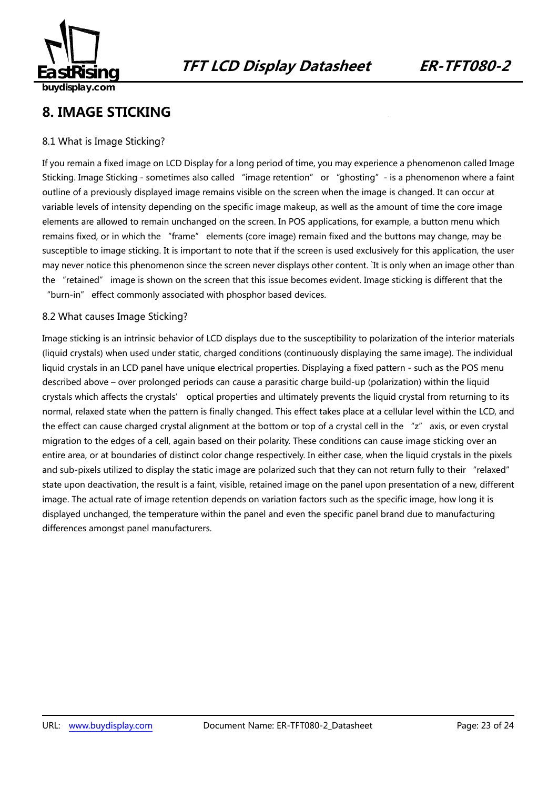

### **8. IMAGE STICKING**

### 8.1 What is Image Sticking?

If you remain a fixed image on LCD Display for a long period of time, you may experience a phenomenon called Image Sticking. Image Sticking - sometimes also called "image retention" or "ghosting"- is a phenomenon where a faint outline of a previously displayed image remains visible on the screen when the image is changed. It can occur at variable levels of intensity depending on the specific image makeup, as well as the amount of time the core image elements are allowed to remain unchanged on the screen. In POS applications, for example, a button menu which remains fixed, or in which the "frame" elements (core image) remain fixed and the buttons may change, may be susceptible to image sticking. It is important to note that if the screen is used exclusively for this application, the user may never notice this phenomenon since the screen never displays other content. `It is only when an image other than the "retained" image is shown on the screen that this issue becomes evident. Image sticking is different that the "burn-in" effect commonly associated with phosphor based devices.

### 8.2 What causes Image Sticking?

Image sticking is an intrinsic behavior of LCD displays due to the susceptibility to polarization of the interior materials (liquid crystals) when used under static, charged conditions (continuously displaying the same image). The individual liquid crystals in an LCD panel have unique electrical properties. Displaying a fixed pattern - such as the POS menu described above – over prolonged periods can cause a parasitic charge build-up (polarization) within the liquid crystals which affects the crystals' optical properties and ultimately prevents the liquid crystal from returning to its normal, relaxed state when the pattern is finally changed. This effect takes place at a cellular level within the LCD, and the effect can cause charged crystal alignment at the bottom or top of a crystal cell in the "z" axis, or even crystal migration to the edges of a cell, again based on their polarity. These conditions can cause image sticking over an entire area, or at boundaries of distinct color change respectively. In either case, when the liquid crystals in the pixels and sub-pixels utilized to display the static image are polarized such that they can not return fully to their "relaxed" state upon deactivation, the result is a faint, visible, retained image on the panel upon presentation of a new, different image. The actual rate of image retention depends on variation factors such as the specific image, how long it is displayed unchanged, the temperature within the panel and even the specific panel brand due to manufacturing differences amongst panel manufacturers.